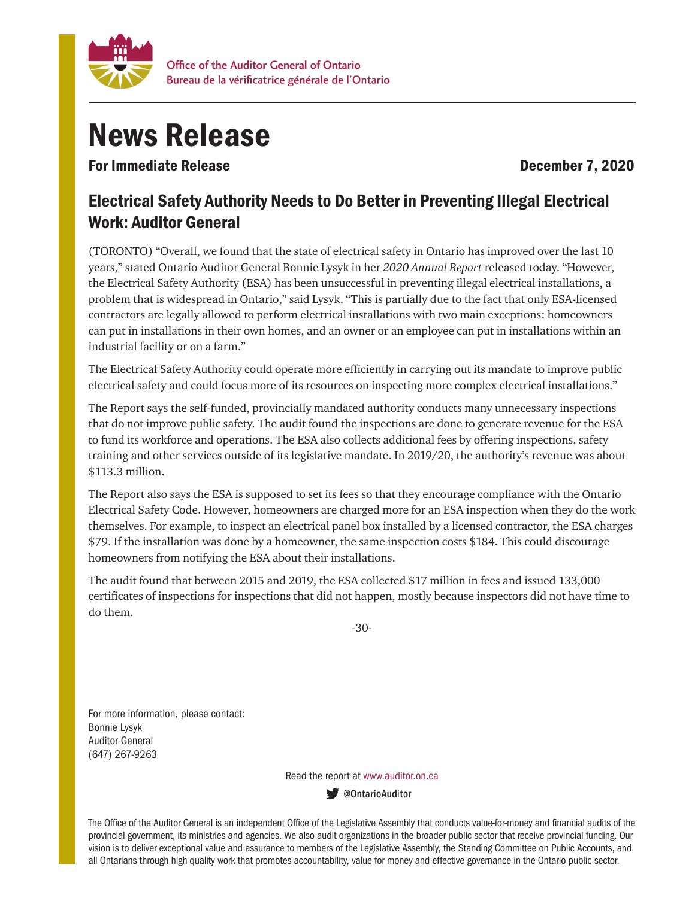

## News Release

For Immediate Release **December 7, 2020** 

## Electrical Safety Authority Needs to Do Better in Preventing Illegal Electrical Work: Auditor General

(TORONTO) "Overall, we found that the state of electrical safety in Ontario has improved over the last 10 years," stated Ontario Auditor General Bonnie Lysyk in her *2020 Annual Report* released today. "However, the Electrical Safety Authority (ESA) has been unsuccessful in preventing illegal electrical installations, a problem that is widespread in Ontario," said Lysyk. "This is partially due to the fact that only ESA-licensed contractors are legally allowed to perform electrical installations with two main exceptions: homeowners can put in installations in their own homes, and an owner or an employee can put in installations within an industrial facility or on a farm."

The Electrical Safety Authority could operate more efficiently in carrying out its mandate to improve public electrical safety and could focus more of its resources on inspecting more complex electrical installations."

The Report says the self-funded, provincially mandated authority conducts many unnecessary inspections that do not improve public safety. The audit found the inspections are done to generate revenue for the ESA to fund its workforce and operations. The ESA also collects additional fees by offering inspections, safety training and other services outside of its legislative mandate. In 2019/20, the authority's revenue was about \$113.3 million.

The Report also says the ESA is supposed to set its fees so that they encourage compliance with the Ontario Electrical Safety Code. However, homeowners are charged more for an ESA inspection when they do the work themselves. For example, to inspect an electrical panel box installed by a licensed contractor, the ESA charges \$79. If the installation was done by a homeowner, the same inspection costs \$184. This could discourage homeowners from notifying the ESA about their installations.

The audit found that between 2015 and 2019, the ESA collected \$17 million in fees and issued 133,000 certificates of inspections for inspections that did not happen, mostly because inspectors did not have time to do them.

-30-

For more information, please contact: Bonnie Lysyk Auditor General (647) 267-9263

Read the report at www.auditor.on.ca

ContarioAuditor

The Office of the Auditor General is an independent Office of the Legislative Assembly that conducts value-for-money and financial audits of the provincial government, its ministries and agencies. We also audit organizations in the broader public sector that receive provincial funding. Our vision is to deliver exceptional value and assurance to members of the Legislative Assembly, the Standing Committee on Public Accounts, and all Ontarians through high-quality work that promotes accountability, value for money and effective governance in the Ontario public sector.